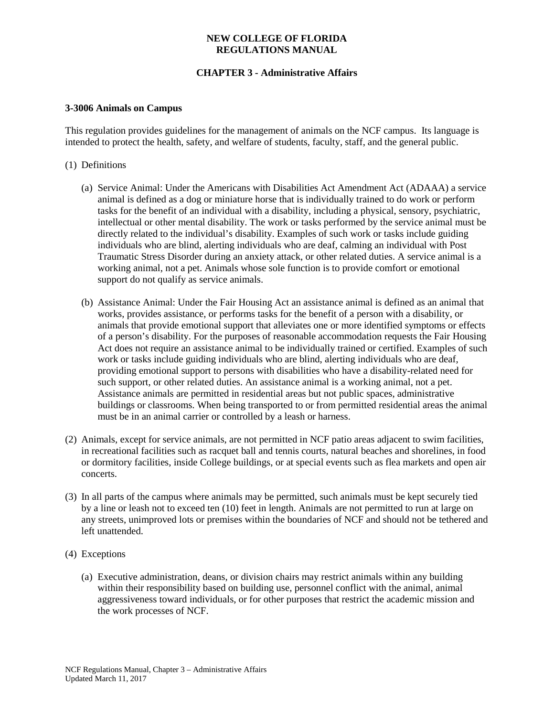## **NEW COLLEGE OF FLORIDA REGULATIONS MANUAL**

# **CHAPTER 3 - Administrative Affairs**

#### **3-3006 Animals on Campus**

This regulation provides guidelines for the management of animals on the NCF campus. Its language is intended to protect the health, safety, and welfare of students, faculty, staff, and the general public.

## (1) Definitions

- (a) Service Animal: Under the Americans with Disabilities Act Amendment Act (ADAAA) a service animal is defined as a dog or miniature horse that is individually trained to do work or perform tasks for the benefit of an individual with a disability, including a physical, sensory, psychiatric, intellectual or other mental disability. The work or tasks performed by the service animal must be directly related to the individual's disability. Examples of such work or tasks include guiding individuals who are blind, alerting individuals who are deaf, calming an individual with Post Traumatic Stress Disorder during an anxiety attack, or other related duties. A service animal is a working animal, not a pet. Animals whose sole function is to provide comfort or emotional support do not qualify as service animals.
- (b) Assistance Animal: Under the Fair Housing Act an assistance animal is defined as an animal that works, provides assistance, or performs tasks for the benefit of a person with a disability, or animals that provide emotional support that alleviates one or more identified symptoms or effects of a person's disability. For the purposes of reasonable accommodation requests the Fair Housing Act does not require an assistance animal to be individually trained or certified. Examples of such work or tasks include guiding individuals who are blind, alerting individuals who are deaf, providing emotional support to persons with disabilities who have a disability-related need for such support, or other related duties. An assistance animal is a working animal, not a pet. Assistance animals are permitted in residential areas but not public spaces, administrative buildings or classrooms. When being transported to or from permitted residential areas the animal must be in an animal carrier or controlled by a leash or harness.
- (2) Animals, except for service animals, are not permitted in NCF patio areas adjacent to swim facilities, in recreational facilities such as racquet ball and tennis courts, natural beaches and shorelines, in food or dormitory facilities, inside College buildings, or at special events such as flea markets and open air concerts.
- (3) In all parts of the campus where animals may be permitted, such animals must be kept securely tied by a line or leash not to exceed ten (10) feet in length. Animals are not permitted to run at large on any streets, unimproved lots or premises within the boundaries of NCF and should not be tethered and left unattended.
- (4) Exceptions
	- (a) Executive administration, deans, or division chairs may restrict animals within any building within their responsibility based on building use, personnel conflict with the animal, animal aggressiveness toward individuals, or for other purposes that restrict the academic mission and the work processes of NCF.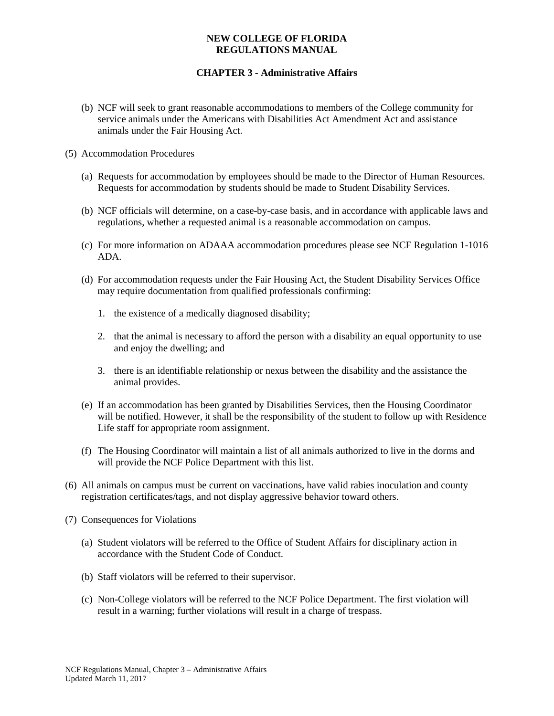## **NEW COLLEGE OF FLORIDA REGULATIONS MANUAL**

## **CHAPTER 3 - Administrative Affairs**

- (b) NCF will seek to grant reasonable accommodations to members of the College community for service animals under the Americans with Disabilities Act Amendment Act and assistance animals under the Fair Housing Act.
- (5) Accommodation Procedures
	- (a) Requests for accommodation by employees should be made to the Director of Human Resources. Requests for accommodation by students should be made to Student Disability Services.
	- (b) NCF officials will determine, on a case-by-case basis, and in accordance with applicable laws and regulations, whether a requested animal is a reasonable accommodation on campus.
	- (c) For more information on ADAAA accommodation procedures please see NCF Regulation 1-1016 ADA.
	- (d) For accommodation requests under the Fair Housing Act, the Student Disability Services Office may require documentation from qualified professionals confirming:
		- 1. the existence of a medically diagnosed disability;
		- 2. that the animal is necessary to afford the person with a disability an equal opportunity to use and enjoy the dwelling; and
		- 3. there is an identifiable relationship or nexus between the disability and the assistance the animal provides.
	- (e) If an accommodation has been granted by Disabilities Services, then the Housing Coordinator will be notified. However, it shall be the responsibility of the student to follow up with Residence Life staff for appropriate room assignment.
	- (f) The Housing Coordinator will maintain a list of all animals authorized to live in the dorms and will provide the NCF Police Department with this list.
- (6) All animals on campus must be current on vaccinations, have valid rabies inoculation and county registration certificates/tags, and not display aggressive behavior toward others.
- (7) Consequences for Violations
	- (a) Student violators will be referred to the Office of Student Affairs for disciplinary action in accordance with the Student Code of Conduct.
	- (b) Staff violators will be referred to their supervisor.
	- (c) Non-College violators will be referred to the NCF Police Department. The first violation will result in a warning; further violations will result in a charge of trespass.